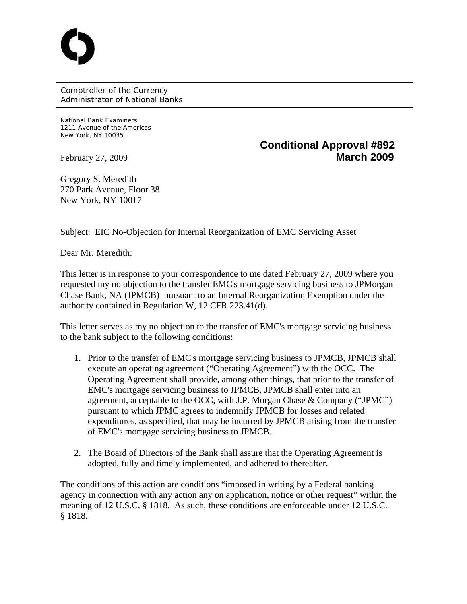Comptroller of the Currency Administrator of National Banks

National Bank Examiners 1211 Avenue of the Americas New York, NY 10035

## **Conditional Approval #892**  February 27, 2009 **March 2009**

Gregory S. Meredith 270 Park Avenue, Floor 38 New York, NY 10017

Subject: EIC No-Objection for Internal Reorganization of EMC Servicing Asset

Dear Mr. Meredith:

This letter is in response to your correspondence to me dated February 27, 2009 where you requested my no objection to the transfer EMC's mortgage servicing business to JPMorgan Chase Bank, NA (JPMCB) pursuant to an Internal Reorganization Exemption under the authority contained in Regulation W, 12 CFR 223.41(d).

This letter serves as my no objection to the transfer of EMC's mortgage servicing business to the bank subject to the following conditions:

- 1. Prior to the transfer of EMC's mortgage servicing business to JPMCB, JPMCB shall execute an operating agreement ("Operating Agreement") with the OCC. The Operating Agreement shall provide, among other things, that prior to the transfer of EMC's mortgage servicing business to JPMCB, JPMCB shall enter into an agreement, acceptable to the OCC, with J.P. Morgan Chase & Company ("JPMC") pursuant to which JPMC agrees to indemnify JPMCB for losses and related expenditures, as specified, that may be incurred by JPMCB arising from the transfer of EMC's mortgage servicing business to JPMCB.
- 2. The Board of Directors of the Bank shall assure that the Operating Agreement is adopted, fully and timely implemented, and adhered to thereafter.

The conditions of this action are conditions "imposed in writing by a Federal banking agency in connection with any action any on application, notice or other request" within the meaning of 12 U.S.C. § 1818. As such, these conditions are enforceable under 12 U.S.C. § 1818.